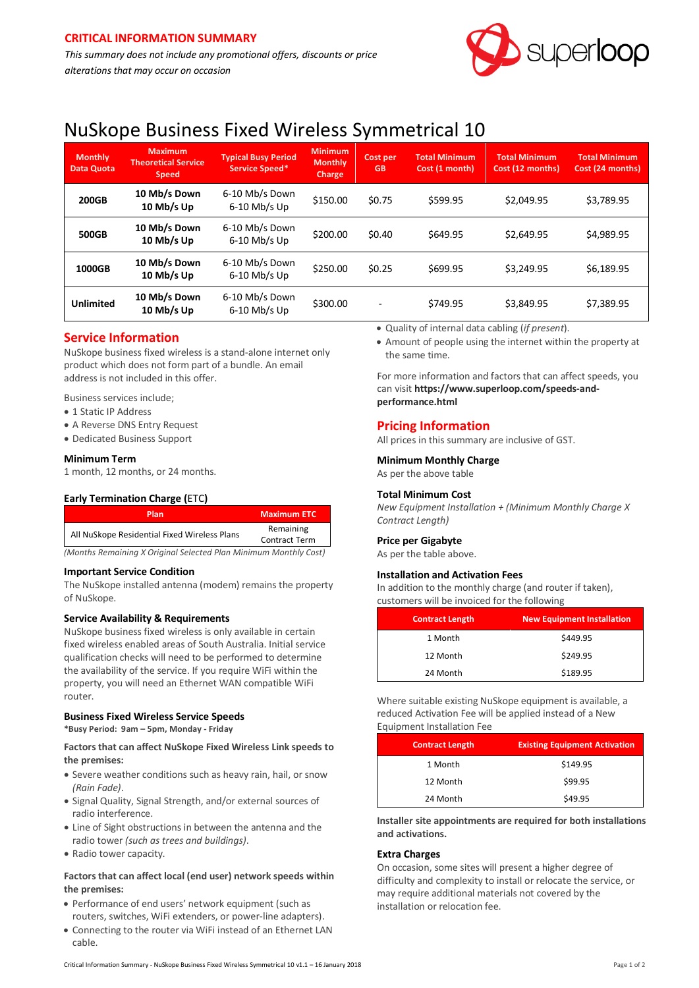*This summary does not include any promotional offers, discounts or price alterations that may occur on occasion*



# NuSkope Business Fixed Wireless Symmetrical 10

| <b>Monthly</b><br><b>Data Quota</b> | <b>Maximum</b><br><b>Theoretical Service</b><br><b>Speed</b> | <b>Typical Busy Period</b><br>Service Speed* | <b>Minimum</b><br><b>Monthly</b><br>Charge | Cost per<br><b>GB</b> | <b>Total Minimum</b><br>Cost (1 month) | <b>Total Minimum</b><br>Cost (12 months) | <b>Total Minimum</b><br>Cost (24 months) |
|-------------------------------------|--------------------------------------------------------------|----------------------------------------------|--------------------------------------------|-----------------------|----------------------------------------|------------------------------------------|------------------------------------------|
| <b>200GB</b>                        | 10 Mb/s Down<br>10 Mb/s Up                                   | 6-10 Mb/s Down<br>6-10 Mb/s Up               | \$150.00                                   | \$0.75                | \$599.95                               | \$2.049.95                               | \$3,789.95                               |
| <b>500GB</b>                        | 10 Mb/s Down<br>10 Mb/s Up                                   | 6-10 Mb/s Down<br>6-10 Mb/s Up               | \$200.00                                   | \$0.40                | \$649.95                               | \$2,649.95                               | \$4,989.95                               |
| 1000GB                              | 10 Mb/s Down<br>10 Mb/s Up                                   | 6-10 Mb/s Down<br>6-10 Mb/s Up               | \$250.00                                   | \$0.25                | \$699.95                               | \$3,249.95                               | \$6,189.95                               |
| <b>Unlimited</b>                    | 10 Mb/s Down<br>10 Mb/s Up                                   | 6-10 Mb/s Down<br>6-10 Mb/s Up               | \$300.00                                   | $\overline{a}$        | \$749.95                               | \$3,849.95                               | \$7,389.95                               |

# **Service Information**

NuSkope business fixed wireless is a stand-alone internet only product which does not form part of a bundle. An email address is not included in this offer.

Business services include;

- 1 Static IP Address
- A Reverse DNS Entry Request
- Dedicated Business Support

# **Minimum Term**

1 month, 12 months, or 24 months.

# **Early Termination Charge (**ETC**)**

| Plan                                                             | <b>Maximum ETC</b>                |  |
|------------------------------------------------------------------|-----------------------------------|--|
| All NuSkope Residential Fixed Wireless Plans                     | Remaining<br><b>Contract Term</b> |  |
| (Months Remaining X Original Selected Plan Minimum Monthly Cost) |                                   |  |

#### **Important Service Condition**

The NuSkope installed antenna (modem) remains the property of NuSkope.

# **Service Availability & Requirements**

NuSkope business fixed wireless is only available in certain fixed wireless enabled areas of South Australia. Initial service qualification checks will need to be performed to determine the availability of the service. If you require WiFi within the property, you will need an Ethernet WAN compatible WiFi router.

# **Business Fixed Wireless Service Speeds**

**\*Busy Period: 9am – 5pm, Monday - Friday**

#### **Factors that can affect NuSkope Fixed Wireless Link speeds to the premises:**

- Severe weather conditions such as heavy rain, hail, or snow *(Rain Fade)*.
- Signal Quality, Signal Strength, and/or external sources of radio interference.
- Line of Sight obstructions in between the antenna and the radio tower *(such as trees and buildings)*.
- Radio tower capacity.

# **Factors that can affect local (end user) network speeds within the premises:**

- Performance of end users' network equipment (such as routers, switches, WiFi extenders, or power-line adapters).
- Connecting to the router via WiFi instead of an Ethernet LAN cable.
- Quality of internal data cabling (*if present*).
- Amount of people using the internet within the property at the same time.

For more information and factors that can affect speeds, you can visit **[https://www.superloop.com/speeds-and](https://www.superloop.com/speeds-and-performance.html)[performance.html](https://www.superloop.com/speeds-and-performance.html)**

# **Pricing Information**

All prices in this summary are inclusive of GST.

#### **Minimum Monthly Charge**

As per the above table

# **Total Minimum Cost**

*New Equipment Installation + (Minimum Monthly Charge X Contract Length)*

# **Price per Gigabyte**

As per the table above.

#### **Installation and Activation Fees**

In addition to the monthly charge (and router if taken), customers will be invoiced for the following

| <b>Contract Length</b> | <b>New Equipment Installation</b> |
|------------------------|-----------------------------------|
| 1 Month                | \$449.95                          |
| 12 Month               | \$249.95                          |
| 24 Month               | \$189.95                          |

Where suitable existing NuSkope equipment is available, a reduced Activation Fee will be applied instead of a New Equipment Installation Fee

| <b>Contract Length</b> | <b>Existing Equipment Activation</b> |
|------------------------|--------------------------------------|
| 1 Month                | \$149.95                             |
| 12 Month               | \$99.95                              |
| 24 Month               | \$49.95                              |

**Installer site appointments are required for both installations and activations.**

# **Extra Charges**

On occasion, some sites will present a higher degree of difficulty and complexity to install or relocate the service, or may require additional materials not covered by the installation or relocation fee.